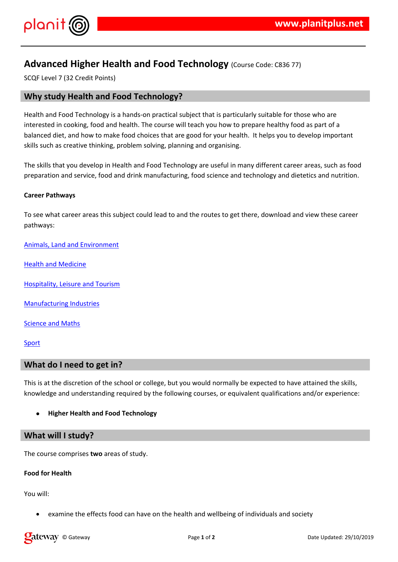## $!$  " # \$ %  $\alpha$   $\alpha$   $\beta$

 $9\%$   $9\%$  3 \$ % & 2  $-$  %  $'$  + &  $)0$  2 / +  $)$  & +  $)$ - 70 i - 00 yo - 2 7 iyo - 1 y - 1 y - 1 y - 7 y - 7 y - 7 y - 7 y - 7 y - 7 y - 7 y - 7 y - 7 y - 7 y - 7 y -<br>- 70 i - 00 yo - 2 y - 1 y - 00 yo - 1 y - 1 y - 1 y - 1 y - 1 y - 1 y - 1 y - 1 y - 1 y - 1 y - 1 y - 1 y - 1

\*)  $18\%$ %)  $8(^\circ$   $\frac{1}{26})\%$  " \* +)'% % & 2 ' ' +  $\overline{\mathbf{0}}$  $8'$   $98 + 0.8'$  / 2  $+$  8 0 + 8  $+$   $+$   $+$   $96 - 8 +$ 

\* ) + - +  $+$  + %% ' ) 0 '% ' \$ & )<br>)

4' & 2 % 0 # 5' \$ & '2 '

 $($  %)  $'$  6 & + &

 $( 8 \frac{9}{8} 8 0 # * 8 8 2)$ 

 $6' + 8' 3' 8$ 

 $+8$   $+$   $6$  )

 $*$ ) & &  $\frac{1}{2}$   $\frac{1}{2}$   $\frac{1}{2}$   $\frac{1}{2}$   $\frac{1}{2}$   $\frac{1}{2}$   $\frac{1}{2}$   $\frac{1}{2}$   $\frac{1}{2}$   $\frac{1}{2}$   $\frac{1}{2}$   $\frac{1}{2}$   $\frac{1}{2}$   $\frac{1}{2}$   $\frac{1}{2}$   $\frac{1}{2}$   $\frac{1}{2}$   $\frac{1}{2}$   $\frac{1}{2}$   $\frac{1}{2}$   $\frac{1}{2}$   $\frac{1}{2}$   $1'$  %

\*) + + 2 &  $\overline{1}$ 

9 & % %

7 2 & ' ) + + ) '\$ ' )) % ) ' % % & ' & & \$& % ' + &